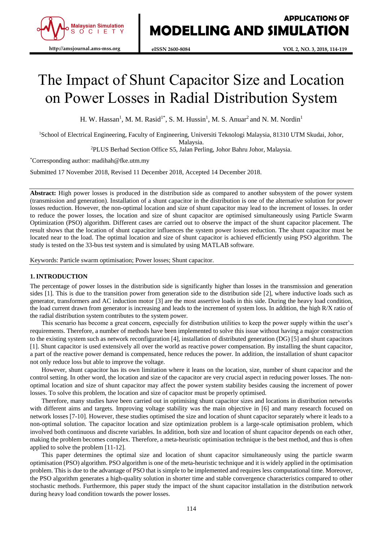

# The Impact of Shunt Capacitor Size and Location on Power Losses in Radial Distribution System

H. W. Hassan<sup>1</sup>, M. M. Rasid<sup>1\*</sup>, S. M. Hussin<sup>1</sup>, M. S. Anuar<sup>2</sup> and N. M. Nordin<sup>1</sup>

<sup>1</sup>School of Electrical Engineering, Faculty of Engineering, Universiti Teknologi Malaysia, 81310 UTM Skudai, Johor,

Malaysia.

<sup>2</sup>PLUS Berhad Section Office S5, Jalan Perling, Johor Bahru Johor, Malaysia.

\*Corresponding author: madihah@fke.utm.my

Submitted 17 November 2018, Revised 11 December 2018, Accepted 14 December 2018.

**Abstract:** High power losses is produced in the distribution side as compared to another subsystem of the power system (transmission and generation). Installation of a shunt capacitor in the distribution is one of the alternative solution for power losses reduction. However, the non-optimal location and size of shunt capacitor may lead to the increment of losses. In order to reduce the power losses, the location and size of shunt capacitor are optimised simultaneously using Particle Swarm Optimization (PSO) algorithm. Different cases are carried out to observe the impact of the shunt capacitor placement. The result shows that the location of shunt capacitor influences the system power losses reduction. The shunt capacitor must be located near to the load. The optimal location and size of shunt capacitor is achieved efficiently using PSO algorithm. The study is tested on the 33-bus test system and is simulated by using MATLAB software.

Keywords: Particle swarm optimisation; Power losses; Shunt capacitor.

# **1. INTRODUCTION**

The percentage of power losses in the distribution side is significantly higher than losses in the transmission and generation sides [1]. This is due to the transition power from generation side to the distribution side [2], where inductive loads such as generator, transformers and AC induction motor [3] are the most assertive loads in this side. During the heavy load condition, the load current drawn from generator is increasing and leads to the increment of system loss. In addition, the high R/X ratio of the radial distribution system contributes to the system power.

This scenario has become a great concern, especially for distribution utilities to keep the power supply within the user's requirements. Therefore, a number of methods have been implemented to solve this issue without having a major construction to the existing system such as network reconfiguration [4], installation of distributed generation (DG) [5] and shunt capacitors [1]. Shunt capacitor is used extensively all over the world as reactive power compensation. By installing the shunt capacitor, a part of the reactive power demand is compensated, hence reduces the power. In addition, the installation of shunt capacitor not only reduce loss but able to improve the voltage.

However, shunt capacitor has its own limitation where it leans on the location, size, number of shunt capacitor and the control setting. In other word, the location and size of the capacitor are very crucial aspect in reducing power losses. The nonoptimal location and size of shunt capacitor may affect the power system stability besides causing the increment of power losses. To solve this problem, the location and size of capacitor must be properly optimised.

Therefore, many studies have been carried out in optimising shunt capacitor sizes and locations in distribution networks with different aims and targets. Improving voltage stability was the main objective in [6] and many research focused on network losses [7-10]. However, these studies optimised the size and location of shunt capacitor separately where it leads to a non-optimal solution. The capacitor location and size optimization problem is a large-scale optimisation problem, which involved both continuous and discrete variables. In addition, both size and location of shunt capacitor depends on each other, making the problem becomes complex. Therefore, a meta-heuristic optimisation technique is the best method, and thus is often applied to solve the problem [11-12].

This paper determines the optimal size and location of shunt capacitor simultaneously using the particle swarm optimisation (PSO) algorithm. PSO algorithm is one of the meta-heuristic technique and it is widely applied in the optimisation problem. This is due to the advantage of PSO that is simple to be implemented and requires less computational time. Moreover, the PSO algorithm generates a high-quality solution in shorter time and stable convergence characteristics compared to other stochastic methods. Furthermore, this paper study the impact of the shunt capacitor installation in the distribution network during heavy load condition towards the power losses.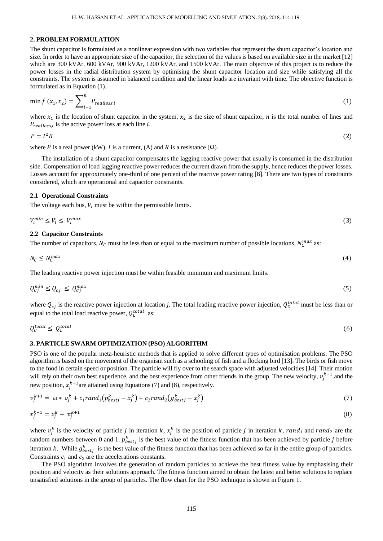## **2. PROBLEM FORMULATION**

The shunt capacitor is formulated as a nonlinear expression with two variables that represent the shunt capacitor's location and size. In order to have an appropriate size of the capacitor, the selection of the values is based on available size in the market [12] which are 300 kVAr, 600 kVAr, 900 kVAr, 1200 kVAr, and 1500 kVAr. The main objective of this project is to reduce the power losses in the radial distribution system by optimising the shunt capacitor location and size while satisfying all the constraints. The system is assumed in balanced condition and the linear loads are invariant with time. The objective function is formulated as in Equation (1).

$$
\min f\left(x_1, x_2\right) = \sum_{i=1}^{n} P_{realloss,i} \tag{1}
$$

where  $x_1$  is the location of shunt capacitor in the system,  $x_2$  is the size of shunt capacitor, *n* is the total number of lines and  $P_{realloss,i}$  is the active power loss at each line *i*.

$$
P = I^2 R \tag{2}
$$

where P is a real power (kW), I is a current, (A) and R is a resistance ( $\Omega$ ).

The installation of a shunt capacitor compensates the lagging reactive power that usually is consumed in the distribution side. Compensation of load lagging reactive power reduces the current drawn from the supply, hence reduces the power losses. Losses account for approximately one-third of one percent of the reactive power rating [8]. There are two types of constraints considered, which are operational and capacitor constraints.

#### **2.1 Operational Constraints**

The voltage each bus,  $V_i$  must be within the permissible limits.

$$
V_i^{min} \le V_i \le V_i^{max} \tag{3}
$$

#### **2.2 Capacitor Constraints**

The number of capacitors,  $N_c$  must be less than or equal to the maximum number of possible locations,  $N_c^{max}$  as:

$$
N_c \le N_c^{max} \tag{4}
$$

The leading reactive power injection must be within feasible minimum and maximum limits.

$$
Q_{Cj}^{min} \le Q_{c,j} \le Q_{Cj}^{max} \tag{5}
$$

where  $Q_{cj}$  is the reactive power injection at location *j*. The total leading reactive power injection,  $Q_c^{total}$  must be less than or equal to the total load reactive power,  $Q_L^{total}$  as:

$$
Q_C^{total} \leq Q_L^{total} \tag{6}
$$

## **3. PARTICLE SWARM OPTIMIZATION (PSO) ALGORITHM**

PSO is one of the popular meta-heuristic methods that is applied to solve different types of optimisation problems. The PSO algorithm is based on the movement of the organism such as a schooling of fish and a flocking bird [13]. The birds or fish move to the food in certain speed or position. The particle will fly over to the search space with adjusted velocities [14]. Their motion will rely on their own best experience, and the best experience from other friends in the group. The new velocity,  $v_j^{k+1}$  and the new position,  $x_j^{k+1}$  are attained using Equations (7) and (8), respectively.

$$
v_j^{k+1} = \omega * v_j^k + c_1 rand_1(p_{bestj}^k - x_j^k) + c_2 rand_2(g_{bestj}^k - x_j^k)
$$
\n(7)

$$
x_j^{k+1} = x_j^k + v_j^{k+1}
$$
 (8)

where  $v_j^k$  is the velocity of particle *j* in iteration k,  $x_j^k$  is the position of particle *j* in iteration k, rand<sub>1</sub> and rand<sub>2</sub> are the random numbers between 0 and 1.  $p_{bestj}^k$  is the best value of the fitness function that has been achieved by particle j before iteration k. While  $g_{bestj}^k$  is the best value of the fitness function that has been achieved so far in the entire group of particles. Constraints  $c_1$  and  $c_2$  are the accelerations constants.

The PSO algorithm involves the generation of random particles to achieve the best fitness value by emphasising their position and velocity as their solutions approach. The fitness function aimed to obtain the latest and better solutions to replace unsatisfied solutions in the group of particles. The flow chart for the PSO technique is shown in Figure 1.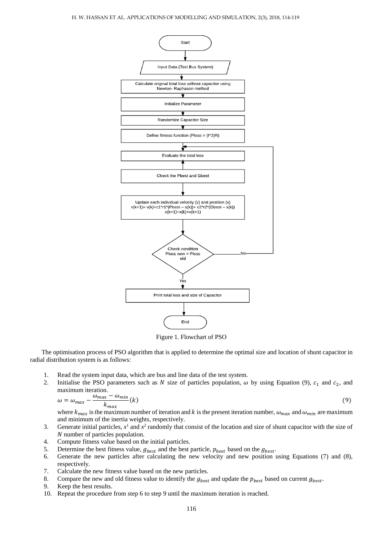#### H. W. HASSAN ET AL. APPLICATIONS OF MODELLING AND SIMULATION, 2(3), 2018, 114-119



Figure 1. Flowchart of PSO

The optimisation process of PSO algorithm that is applied to determine the optimal size and location of shunt capacitor in radial distribution system is as follows:

- 1. Read the system input data, which are bus and line data of the test system.
- 2. Initialise the PSO parameters such as N size of particles population,  $\omega$  by using Equation (9),  $c_1$  and  $c_2$ , and maximum iteration.

$$
\omega = \omega_{max} - \frac{\omega_{max} - \omega_{min}}{k_{max}}(k)
$$
\n(9)

where  $k_{max}$  is the maximum number of iteration and k is the present iteration number,  $\omega_{max}$  and  $\omega_{min}$  are maximum and minimum of the inertia weights, respectively.

- 3. Generate initial particles,  $x^1$  and  $x^2$  randomly that consist of the location and size of shunt capacitor with the size of N number of particles population.
- 4. Compute fitness value based on the initial particles.
- 5. Determine the best fitness value,  $g_{best}$  and the best particle,  $p_{best}$  based on the  $g_{best}$ .<br>6. Generate the new particles after calculating the new velocity and new position is
- 6. Generate the new particles after calculating the new velocity and new position using Equations (7) and (8), respectively.
- 7. Calculate the new fitness value based on the new particles.
- 8. Compare the new and old fitness value to identify the  $g_{best}$  and update the  $p_{best}$  based on current  $g_{best}$ .
- 9. Keep the best results.
- 10. Repeat the procedure from step 6 to step 9 until the maximum iteration is reached.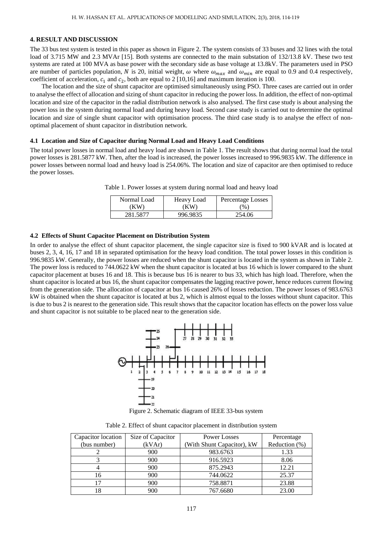#### **4. RESULT AND DISCUSSION**

The 33 bus test system is tested in this paper as shown in Figure 2. The system consists of 33 buses and 32 lines with the total load of 3.715 MW and 2.3 MVAr [15]. Both systems are connected to the main substation of 132/13.8 kV. These two test systems are rated at 100 MVA as base power with the secondary side as base voltage at 13.8kV. The parameters used in PSO are number of particles population, N is 20, initial weight,  $\omega$  where  $\omega_{max}$  and  $\omega_{min}$  are equal to 0.9 and 0.4 respectively, coefficient of acceleration,  $c_1$  and  $c_2$ , both are equal to 2 [10,16] and maximum iteration is 100.

The location and the size of shunt capacitor are optimised simultaneously using PSO. Three cases are carried out in order to analyse the effect of allocation and sizing of shunt capacitor in reducing the power loss. In addition, the effect of non-optimal location and size of the capacitor in the radial distribution network is also analysed. The first case study is about analysing the power loss in the system during normal load and during heavy load. Second case study is carried out to determine the optimal location and size of single shunt capacitor with optimisation process. The third case study is to analyse the effect of nonoptimal placement of shunt capacitor in distribution network.

#### **4.1 Location and Size of Capacitor during Normal Load and Heavy Load Conditions**

The total power losses in normal load and heavy load are shown in Table 1. The result shows that during normal load the total power losses is 281.5877 kW. Then, after the load is increased, the power losses increased to 996.9835 kW. The difference in power losses between normal load and heavy load is 254.06%. The location and size of capacitor are then optimised to reduce the power losses.

| Normal Load | <b>Heavy Load</b> | Percentage Losses |
|-------------|-------------------|-------------------|
| 'KW         | (KW)              | $\%$              |
| 281.5877    | 996.9835          | 254.06            |

Table 1. Power losses at system during normal load and heavy load

#### **4.2 Effects of Shunt Capacitor Placement on Distribution System**

In order to analyse the effect of shunt capacitor placement, the single capacitor size is fixed to 900 kVAR and is located at buses 2, 3, 4, 16, 17 and 18 in separated optimisation for the heavy load condition. The total power losses in this condition is 996.9835 kW. Generally, the power losses are reduced when the shunt capacitor is located in the system as shown in Table 2. The power loss is reduced to 744.0622 kW when the shunt capacitor is located at bus 16 which is lower compared to the shunt capacitor placement at buses 16 and 18. This is because bus 16 is nearer to bus 33, which has high load. Therefore, when the shunt capacitor is located at bus 16, the shunt capacitor compensates the lagging reactive power, hence reduces current flowing from the generation side. The allocation of capacitor at bus 16 caused 26% of losses reduction. The power losses of 983.6763 kW is obtained when the shunt capacitor is located at bus 2, which is almost equal to the losses without shunt capacitor. This is due to bus 2 is nearest to the generation side. This result shows that the capacitor location has effects on the power loss value and shunt capacitor is not suitable to be placed near to the generation side.



Figure 2. Schematic diagram of IEEE 33-bus system

|  |  |  |  |  |  |  |  | Table 2. Effect of shunt capacitor placement in distribution system |  |
|--|--|--|--|--|--|--|--|---------------------------------------------------------------------|--|
|--|--|--|--|--|--|--|--|---------------------------------------------------------------------|--|

| Capacitor location | Size of Capacitor | Power Losses               | Percentage    |
|--------------------|-------------------|----------------------------|---------------|
| (bus number)       | (kVAr)            | (With Shunt Capacitor), kW | Reduction (%) |
|                    | 900               | 983.6763                   | 1.33          |
|                    | 900               | 916.5923                   | 8.06          |
|                    | 900               | 875.2943                   | 12.21         |
| 16                 | 900               | 744.0622                   | 25.37         |
|                    | 900               | 758.8871                   | 23.88         |
| 18                 | 900               | 767.6680                   | 23.00         |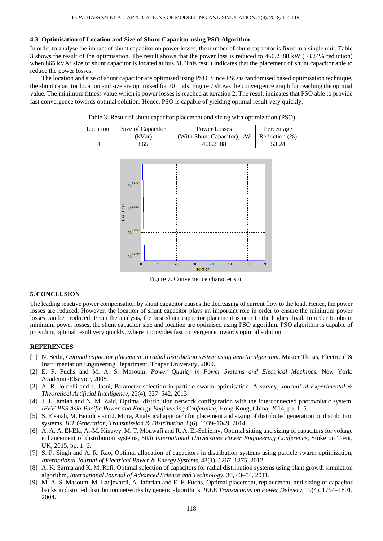## **4.3 Optimisation of Location and Size of Shunt Capacitor using PSO Algorithm**

In order to analyse the impact of shunt capacitor on power losses, the number of shunt capacitor is fixed to a single unit. Table 3 shows the result of the optimisation. The result shows that the power loss is reduced to 466.2388 kW (53.24% reduction) when 865 kVAr size of shunt capacitor is located at bus 31. This result indicates that the placement of shunt capacitor able to reduce the power losses.

The location and size of shunt capacitor are optimised using PSO. Since PSO is randomised based optimisation technique, the shunt capacitor location and size are optimised for 70 trials. Figure 7 shows the convergence graph for reaching the optimal value. The minimum fitness value which is power losses is reached at iteration 2. The result indicates that PSO able to provide fast convergence towards optimal solution. Hence, PSO is capable of yielding optimal result very quickly.

Table 3. Result of shunt capacitor placement and sizing with optimization (PSO)

| Location | Size of Capacitor | Power Losses               | Percentage    |  |
|----------|-------------------|----------------------------|---------------|--|
|          | (kVar)            | (With Shunt Capacitor), kW | Reduction (%) |  |
|          | 865               | 466.2388                   | 53.24         |  |



Figure 7. Convergence characteristic

## **5. CONCLUSION**

The leading reactive power compensation by shunt capacitor causes the decreasing of current flow to the load. Hence, the power losses are reduced. However, the location of shunt capacitor plays an important role in order to ensure the minimum power losses can be produced. From the analysis, the best shunt capacitor placement is near to the highest load. In order to obtain minimum power losses, the shunt capacitor size and location are optimised using PSO algorithm. PSO algorithm is capable of providing optimal result very quickly, where it provides fast convergence towards optimal solution.

# **REFERENCES**

- [1] N. Sethi, *Optimal capacitor placement in radial distribution system using genetic algorithm*, Master Thesis, Electrical & Instrumentation Engineering Department, Thapar University, 2009.
- [2] E. F. Fuchs and M. A. S. Masoum, *Power Quality in Power Systems and Electrical Machines.* New York: Academic/Elsevier, 2008.
- [3] A. R. Jordehi and J. Jasni, Parameter selection in particle swarm optimisation: A survey, *Journal of Experimental & Theoretical Artificial Intelligence*, 25(4), 527–542, 2013.
- [4] J. J. Jamian and N. M. Zaid, Optimal distribution network configuration with the interconnected photovoltaic system, *IEEE PES Asia-Pacific Power and Energy Engineering Conference*, Hong Kong, China, 2014, pp. 1–5.
- [5] S. Elsaiah, M. Benidris and J. Mitra, Analytical approach for placement and sizing of distributed generation on distribution systems, *IET Generation, Transmission & Distribution*, 8(6), 1039–1049, 2014.
- [6] A. A. A. El-Ela, A.-M. Kinawy, M. T. Mouwafi and R. A. El-Sehiemy, Optimal sitting and sizing of capacitors for voltage enhancement of distribution systems, *50th International Universities Power Engineering Conference*, Stoke on Trent, UK, 2015, pp. 1–6.
- [7] S. P. Singh and A. R. Rao, Optimal allocation of capacitors in distribution systems using particle swarm optimization, *International Journal of Electrical Power & Energy Systems*, 43(1), 1267–1275, 2012.
- [8] A. K. Sarma and K. M. Rafi, Optimal selection of capacitors for radial distribution systems using plant growth simulation algorithm, *International Journal of Advanced Science and Technology*, 30, 43–54, 2011.
- [9] M. A. S. Masoum, M. Ladjevardi, A. Jafarian and E. F. Fuchs, Optimal placement, replacement, and sizing of capacitor banks in distorted distribution networks by genetic algorithms, *IEEE Transactions on Power Delivery*, 19(4), 1794–1801, 2004.